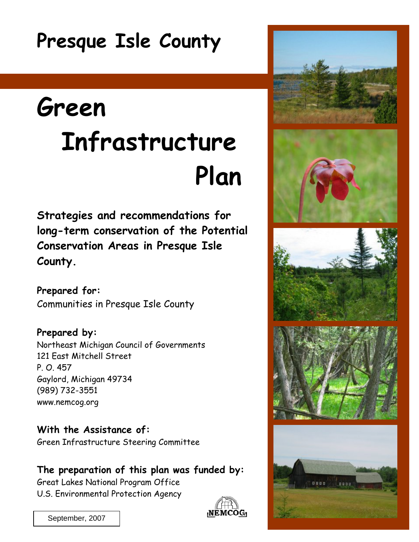# **Presque Isle County**

# **Green Infrastructure Plan**

**Strategies and recommendations for long-term conservation of the Potential Conservation Areas in Presque Isle County.** 

**Prepared for:**  Communities in Presque Isle County

**Prepared by:**  Northeast Michigan Council of Governments 121 East Mitchell Street P. O. 457 Gaylord, Michigan 49734 (989) 732-3551 www.nemcog.org

**With the Assistance of:**  Green Infrastructure Steering Committee

**The preparation of this plan was funded by:**  Great Lakes National Program Office U.S. Environmental Protection Agency





0000

0000

September, 2007